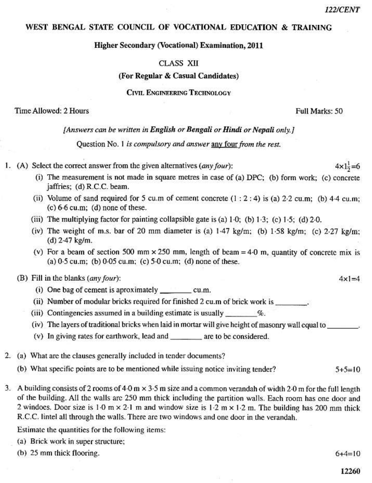# WEST BENGAL STATE COUNCIL OF VOCATIONAL EDUCATION & TRAINING

## **Higher Secondary (Vocational) Examination, 2011**

## **CLASS XII**

### (For Regular & Casual Candidates)

### **CIVIL ENGINEERING TECHNOLOGY**

## Time Allowed: 2 Hours

#### Full Marks: 50

### [Answers can be written in English or Bengali or Hindi or Nepali only.]

Question No. 1 is compulsory and answer any four from the rest.

- 1. (A) Select the correct answer from the given alternatives (any four);  $4 \times 1\frac{1}{2} = 6$ 
	- (i) The measurement is not made in square metres in case of (a) DPC; (b) form work; (c) concrete jaffries; (d) R.C.C. beam.
	- (ii) Volume of sand required for 5 cu.m of cement concrete  $(1:2:4)$  is (a) 2.2 cu.m; (b) 4.4 cu.m;  $(c) 6.6$  cu.m;  $(d)$  none of these.
	- (iii) The multiplying factor for painting collapsible gate is (a)  $1-0$ ; (b)  $1-3$ ; (c)  $1-5$ ; (d)  $2-0$ .
	- (iv) The weight of m.s. bar of 20 mm diameter is (a)  $1.47 \text{ kg/m}$ ; (b)  $1.58 \text{ kg/m}$ ; (c)  $2.27 \text{ kg/m}$ ;  $(d)$  2.47 kg/m.
	- (v) For a beam of section 500 mm  $\times$  250 mm, length of beam = 4.0 m, quantity of concrete mix is (a)  $0.5$  cu.m; (b)  $0.05$  cu.m; (c)  $5.0$  cu.m; (d) none of these.

## (B) Fill in the blanks (any four):

- (i) One bag of cement is aproximately \_\_\_\_\_\_\_\_\_\_\_\_\_ cu.m.
- (ii) Number of modular bricks required for finished 2 cu.m of brick work is
- (iii) Contingencies assumed in a building estimate is usually  $\%$ .
- (iv) The layers of traditional bricks when laid in mortar will give height of masonry wall equal to
- (v) In giving rates for earthwork, lead and are to be considered.
- 2. (a) What are the clauses generally included in tender documents?
	- (b) What specific points are to be mentioned while issuing notice inviting tender?  $5+5=10$
- 3. A building consists of 2 rooms of 4.0 m  $\times$  3.5 m size and a common verandah of width 2.0 m for the full length of the building. All the walls are 250 mm thick including the partition walls. Each room has one door and 2 windoes. Door size is 1.0 m  $\times$  2.1 m and window size is 1.2 m  $\times$  1.2 m. The building has 200 mm thick R.C.C. lintel all through the walls. There are two windows and one door in the verandah.

Estimate the quantities for the following items:

- (a) Brick work in super structure;
- (b) 25 mm thick flooring.

 $6 + 4 = 10$ 

 $4 \times 1 = 4$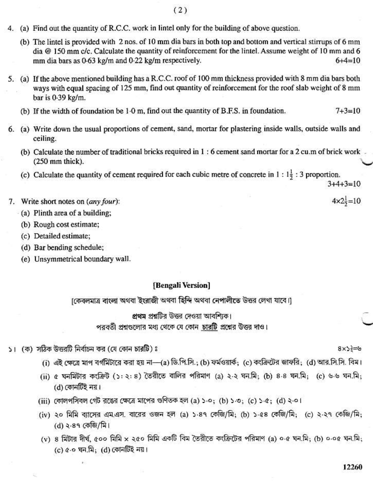- $(2)$
- 4. (a) Find out the quantity of R.C.C. work in lintel only for the building of above question.
	- (b) The lintel is provided with 2 nos, of 10 mm dia bars in both top and bottom and vertical stirrups of 6 mm dia  $\omega$  150 mm c/c. Calculate the quantity of reinforcement for the lintel. Assume weight of 10 mm and 6 mm dia bars as 0.63 kg/m and 0.22 kg/m respectively.  $6 + 4 = 10$
- 5. (a) If the above mentioned building has a R.C.C. roof of 100 mm thickness provided with 8 mm dia bars both ways with equal spacing of 125 mm, find out quantity of reinforcement for the roof slab weight of 8 mm bar is 0.39 kg/m.
	- (b) If the width of foundation be 1.0 m, find out the quantity of B.F.S. in foundation.  $7 + 3 = 10$
- 6. (a) Write down the usual proportions of cement, sand, mortar for plastering inside walls, outside walls and ceiling.
	- (b) Calculate the number of traditional bricks required in 1: 6 cement sand mortar for a 2 cu.m of brick work  $(250$  mm thick).
	- (c) Calculate the quantity of cement required for each cubic metre of concrete in 1:  $1\frac{1}{2}$ : 3 proportion.

 $3+4+3=10$ 

 $4 \times 2\frac{1}{2} = 10$ 

- 7. Write short notes on (any four):
	- (a) Plinth area of a building:
		- (b) Rough cost estimate;
		- (c) Detailed estimate;
		- (d) Bar bending schedule;
		- (e) Unsymmetrical boundary wall.

## [Bengali Version]

[কেবলমাত্র বাংলা অথবা ইংরাজী অথবা হিন্দি অথবা নেপালীতে উত্তর লেখা যাবে।]

প্রথম প্রশ্নটির উত্তর দেওয়া আবশিকে।

পরবর্তী প্রশ্নগুলোর মধ্য থেকে যে কোন চারটি প্রশ্নের উত্তর দাও।

১। (ক) সঠিক উত্তরটি নির্বাচন কর (যে কোন চারটি) ঃ

 $8x$ >=5

- (i) এই ক্ষেত্রে মাপ বর্গমিটারে করা হয় না—(a) ডি.পি.সি.; (b) ফর্মওয়ার্ক; (c) কংক্রিটের জাফরি; (d) আর.সি.সি. বিম।
- (ii) ৫ ঘনমিটার কংক্রিট (১:২:৪) তৈরীতে বালির পরিমাণ (a) ২-২ ঘন.মি: (b) ৪-৪ ঘন.মি: (c) ৬-৬ ঘন.মি: (d) কোনটিই নয়।
- (iii) কোলপসিবল গেট রঙের ক্ষেত্রে মাপের গুণিতক হল (a) ১-০: (b) ১-৩: (c) ১-৫: (d) ২-০।
- (iv) ২০ মিমি ব্যাসের এম.এস. বারের ওজন হল (a) ১-৪৭ কেজি/মি; (b) ১-৫৪ কেজি/মি; (c) ২-২৭ কেজি/মি; (d) ২·৪৭ কেজি/মি।
- (v) ৪ মিটার দীর্ঘ, ৫০০ মিমি x ২৫০ মিমি একটি বিম তৈরীতে কংক্রিটের পরিমাণ (a) ০·৫ ঘন.মি; (b) ০·০৫ ঘন.মি; (c)  $a$ -০ ঘন.মি: (d) কোনটিই নয়।